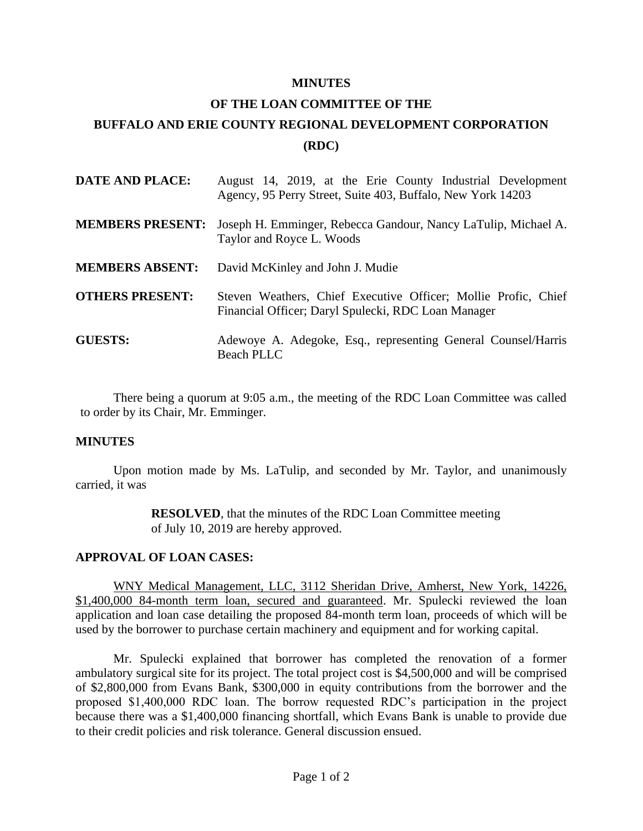## **MINUTES**

## **OF THE LOAN COMMITTEE OF THE BUFFALO AND ERIE COUNTY REGIONAL DEVELOPMENT CORPORATION (RDC)**

| <b>DATE AND PLACE:</b>  | August 14, 2019, at the Erie County Industrial Development<br>Agency, 95 Perry Street, Suite 403, Buffalo, New York 14203 |
|-------------------------|---------------------------------------------------------------------------------------------------------------------------|
| <b>MEMBERS PRESENT:</b> | Joseph H. Emminger, Rebecca Gandour, Nancy LaTulip, Michael A.<br>Taylor and Royce L. Woods                               |
| <b>MEMBERS ABSENT:</b>  | David McKinley and John J. Mudie                                                                                          |
| <b>OTHERS PRESENT:</b>  | Steven Weathers, Chief Executive Officer; Mollie Profic, Chief<br>Financial Officer; Daryl Spulecki, RDC Loan Manager     |
| <b>GUESTS:</b>          | Adewoye A. Adegoke, Esq., representing General Counsel/Harris<br><b>Beach PLLC</b>                                        |

There being a quorum at 9:05 a.m., the meeting of the RDC Loan Committee was called to order by its Chair, Mr. Emminger.

## **MINUTES**

Upon motion made by Ms. LaTulip, and seconded by Mr. Taylor, and unanimously carried, it was

> **RESOLVED**, that the minutes of the RDC Loan Committee meeting of July 10, 2019 are hereby approved.

## **APPROVAL OF LOAN CASES:**

WNY Medical Management, LLC, 3112 Sheridan Drive, Amherst, New York, 14226, \$1,400,000 84-month term loan, secured and guaranteed. Mr. Spulecki reviewed the loan application and loan case detailing the proposed 84-month term loan, proceeds of which will be used by the borrower to purchase certain machinery and equipment and for working capital.

Mr. Spulecki explained that borrower has completed the renovation of a former ambulatory surgical site for its project. The total project cost is \$4,500,000 and will be comprised of \$2,800,000 from Evans Bank, \$300,000 in equity contributions from the borrower and the proposed \$1,400,000 RDC loan. The borrow requested RDC's participation in the project because there was a \$1,400,000 financing shortfall, which Evans Bank is unable to provide due to their credit policies and risk tolerance. General discussion ensued.